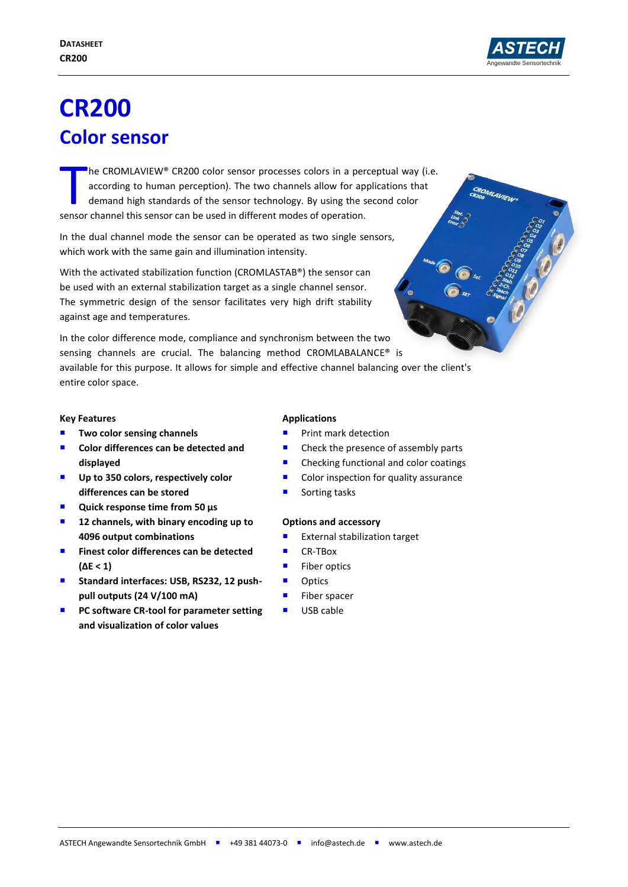

OMLAVIEW

# **CR200 Color sensor**

he CROMLAVIEW® CR200 color sensor processes colors in a perceptual way (i.e. according to human perception). The two channels allow for applications that demand high standards of the sensor technology. By using the second color The CROMLAVIEW® CR200 color sensor processes colors in a per according to human perception). The two channels allow for ap demand high standards of the sensor technology. By using the sensor channel this sensor can be used

In the dual channel mode the sensor can be operated as two single sensors, which work with the same gain and illumination intensity.

With the activated stabilization function (CROMLASTAB®) the sensor can be used with an external stabilization target as a single channel sensor. The symmetric design of the sensor facilitates very high drift stability against age and temperatures.

In the color difference mode, compliance and synchronism between the two sensing channels are crucial. The balancing method CROMLABALANCE® is available for this purpose. It allows for simple and effective channel balancing over the client's entire color space.

#### **Key Features**

- **Two color sensing channels**
- Color differences can be detected and **displayed**
- Up to 350 colors, respectively color **differences can be stored**
- Quick response time from 50 µs
- **12 channels, with binary encoding up to 4096 output combinations**
- **Finest color differences can be detected (ΔE < 1)**
- Standard interfaces: USB, RS232, 12 push**pull outputs (24 V/100 mA)**
- **PC software CR-tool for parameter setting and visualization of color values**

## **Applications**

- Print mark detection
- Check the presence of assembly parts
- Checking functional and color coatings
- Color inspection for quality assurance
- Sorting tasks

## **Options and accessory**

- External stabilization target
- CR-TBox
- Fiber optics
- **Department**
- **Fiber spacer**
- **USB cable**